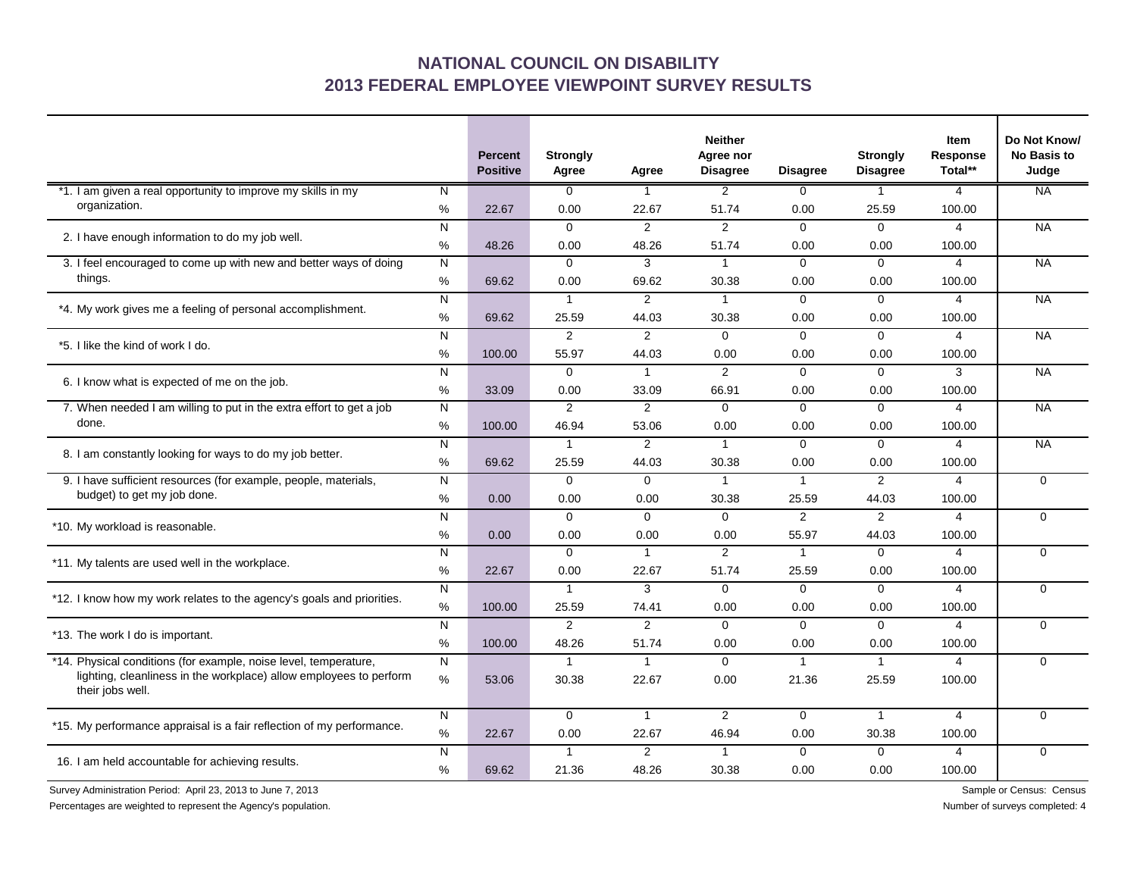## **NATIONAL COUNCIL ON DISABILITY 2013 FEDERAL EMPLOYEE VIEWPOINT SURVEY RESULTS**

|                                                                                                                                                            |                | <b>Percent</b><br><b>Positive</b> | <b>Strongly</b><br>Agree | Agree          | <b>Neither</b><br>Agree nor<br><b>Disagree</b> | <b>Disagree</b> | <b>Strongly</b><br><b>Disagree</b> | <b>Item</b><br>Response<br>Total** | Do Not Know/<br><b>No Basis to</b><br>Judge |
|------------------------------------------------------------------------------------------------------------------------------------------------------------|----------------|-----------------------------------|--------------------------|----------------|------------------------------------------------|-----------------|------------------------------------|------------------------------------|---------------------------------------------|
| *1. I am given a real opportunity to improve my skills in my<br>organization.                                                                              | N              |                                   | $\overline{0}$           | 1              | $\overline{2}$                                 | $\Omega$        | 1                                  | $\overline{4}$                     | <b>NA</b>                                   |
|                                                                                                                                                            | $\%$           | 22.67                             | 0.00                     | 22.67          | 51.74                                          | 0.00            | 25.59                              | 100.00                             |                                             |
| 2. I have enough information to do my job well.                                                                                                            | N              |                                   | $\Omega$                 | $\overline{2}$ | 2                                              | $\Omega$        | $\Omega$                           | $\overline{4}$                     | <b>NA</b>                                   |
|                                                                                                                                                            | %              | 48.26                             | 0.00                     | 48.26          | 51.74                                          | 0.00            | 0.00                               | 100.00                             |                                             |
| 3. I feel encouraged to come up with new and better ways of doing<br>things.                                                                               | $\mathsf{N}$   |                                   | $\mathbf 0$              | 3              | $\mathbf{1}$                                   | $\mathbf{0}$    | $\mathbf{0}$                       | $\overline{4}$                     | <b>NA</b>                                   |
|                                                                                                                                                            | %              | 69.62                             | 0.00                     | 69.62          | 30.38                                          | 0.00            | 0.00                               | 100.00                             |                                             |
| *4. My work gives me a feeling of personal accomplishment.                                                                                                 | $\overline{N}$ |                                   | $\mathbf{1}$             | $\overline{2}$ | $\mathbf{1}$                                   | $\mathbf{0}$    | $\overline{0}$                     | $\overline{4}$                     | <b>NA</b>                                   |
|                                                                                                                                                            | $\%$           | 69.62                             | 25.59                    | 44.03          | 30.38                                          | 0.00            | 0.00                               | 100.00                             |                                             |
| *5. I like the kind of work I do.                                                                                                                          | N              |                                   | $\overline{2}$           | $\overline{2}$ | $\Omega$                                       | $\Omega$        | $\Omega$                           | $\overline{4}$                     | <b>NA</b>                                   |
|                                                                                                                                                            | %              | 100.00                            | 55.97                    | 44.03          | 0.00                                           | 0.00            | 0.00                               | 100.00                             |                                             |
| 6. I know what is expected of me on the job.                                                                                                               | N              |                                   | $\Omega$                 | $\mathbf{1}$   | 2                                              | $\Omega$        | $\Omega$                           | 3                                  | <b>NA</b>                                   |
|                                                                                                                                                            | %              | 33.09                             | 0.00                     | 33.09          | 66.91                                          | 0.00            | 0.00                               | 100.00                             |                                             |
| 7. When needed I am willing to put in the extra effort to get a job<br>done.                                                                               | N              |                                   | 2                        | 2              | $\Omega$                                       | $\Omega$        | $\Omega$                           | $\overline{4}$                     | <b>NA</b>                                   |
|                                                                                                                                                            | %              | 100.00                            | 46.94                    | 53.06          | 0.00                                           | 0.00            | 0.00                               | 100.00                             |                                             |
| 8. I am constantly looking for ways to do my job better.                                                                                                   | N              |                                   | $\mathbf{1}$             | $\overline{2}$ | $\overline{1}$                                 | $\Omega$        | $\Omega$                           | $\overline{4}$                     | <b>NA</b>                                   |
|                                                                                                                                                            | %              | 69.62                             | 25.59                    | 44.03          | 30.38                                          | 0.00            | 0.00                               | 100.00                             |                                             |
| 9. I have sufficient resources (for example, people, materials,<br>budget) to get my job done.                                                             | N              |                                   | $\Omega$                 | $\Omega$       | $\mathbf{1}$                                   | $\mathbf{1}$    | 2                                  | $\overline{4}$                     | $\Omega$                                    |
|                                                                                                                                                            | %              | 0.00                              | 0.00                     | 0.00           | 30.38                                          | 25.59           | 44.03                              | 100.00                             |                                             |
| *10. My workload is reasonable.                                                                                                                            | N              |                                   | $\mathbf 0$              | $\mathbf 0$    | $\mathbf 0$                                    | $\overline{2}$  | 2                                  | $\overline{4}$                     | $\Omega$                                    |
|                                                                                                                                                            | %              | 0.00                              | 0.00                     | 0.00           | 0.00                                           | 55.97           | 44.03                              | 100.00                             |                                             |
| *11. My talents are used well in the workplace.                                                                                                            | $\mathsf{N}$   |                                   | $\Omega$                 | $\mathbf{1}$   | 2                                              | $\mathbf{1}$    | $\mathbf 0$                        | $\overline{4}$                     | $\Omega$                                    |
|                                                                                                                                                            | %              | 22.67                             | 0.00                     | 22.67          | 51.74                                          | 25.59           | 0.00                               | 100.00                             |                                             |
| *12. I know how my work relates to the agency's goals and priorities.                                                                                      | N              |                                   | $\mathbf{1}$             | 3              | $\mathbf 0$                                    | $\Omega$        | $\mathbf 0$                        | $\overline{4}$                     | $\Omega$                                    |
|                                                                                                                                                            | %              | 100.00                            | 25.59                    | 74.41          | 0.00                                           | 0.00            | 0.00                               | 100.00                             |                                             |
| *13. The work I do is important.                                                                                                                           | N              |                                   | $\overline{2}$           | $\overline{2}$ | $\Omega$                                       | $\Omega$        | $\Omega$                           | 4                                  | $\Omega$                                    |
|                                                                                                                                                            | %              | 100.00                            | 48.26                    | 51.74          | 0.00                                           | 0.00            | 0.00                               | 100.00                             |                                             |
| *14. Physical conditions (for example, noise level, temperature,<br>lighting, cleanliness in the workplace) allow employees to perform<br>their jobs well. | N              |                                   | $\mathbf{1}$             | $\mathbf{1}$   | $\Omega$                                       | $\mathbf{1}$    | $\mathbf{1}$                       | 4                                  | $\Omega$                                    |
|                                                                                                                                                            | %              | 53.06                             | 30.38                    | 22.67          | 0.00                                           | 21.36           | 25.59                              | 100.00                             |                                             |
| *15. My performance appraisal is a fair reflection of my performance.                                                                                      | N              |                                   | $\mathbf 0$              | $\mathbf{1}$   | 2                                              | $\mathbf 0$     | $\mathbf{1}$                       | $\overline{4}$                     | $\Omega$                                    |
|                                                                                                                                                            | %              | 22.67                             | 0.00                     | 22.67          | 46.94                                          | 0.00            | 30.38                              | 100.00                             |                                             |
| 16. I am held accountable for achieving results.                                                                                                           | N              |                                   | $\mathbf{1}$             | $\overline{2}$ | $\mathbf{1}$                                   | $\Omega$        | $\Omega$                           | $\overline{4}$                     | $\Omega$                                    |
|                                                                                                                                                            | %              | 69.62                             | 21.36                    | 48.26          | 30.38                                          | 0.00            | 0.00                               | 100.00                             |                                             |

Survey Administration Period: April 23, 2013 to June 7, 2013 Sample or Census: Census: Census: Census: Census: Census: Census: Census: Census: Census: Census: Census: Census: Census: Census: Census: Census: Census: Census:

Percentages are weighted to represent the Agency's population. Number of surveys completed: 4